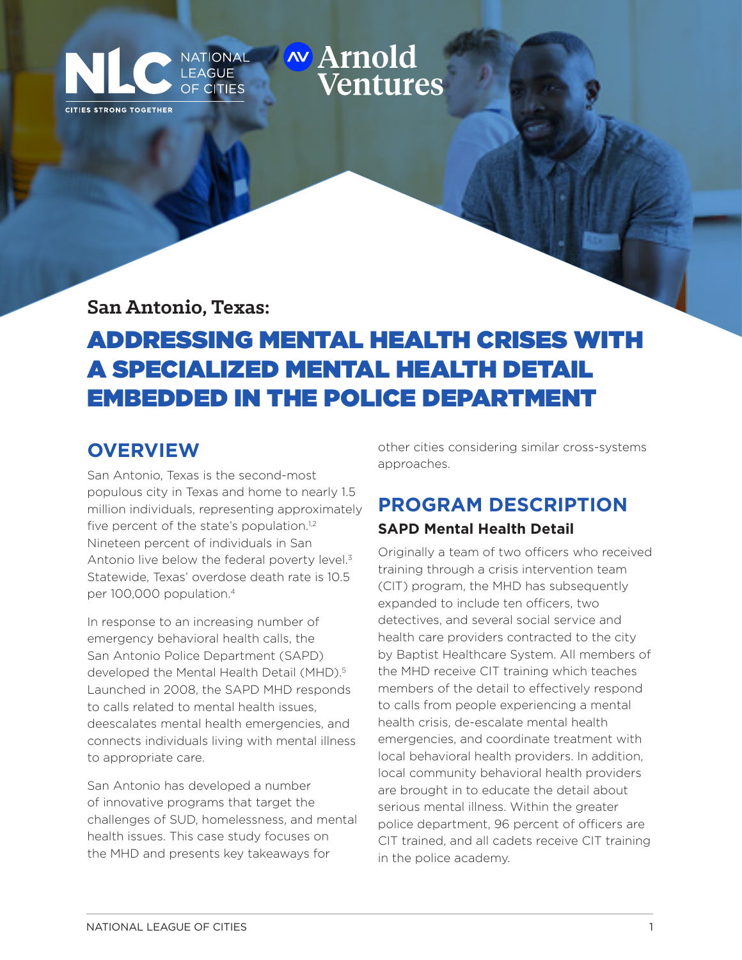# San Antonio, Texas: Addressing Mental Health Crises with a Specialized Mental Health Detail Mental Health Detail Mental Mental Mental Mental Mental Mental Mental Mental Mental Mental Mental Mental Mental Mental Mental Ment Ventures

**San Antonio, Texas:** 

Embedded in the Police Department

CITIES STRONG TOGETHER

**OF CITIES** 

# ADDRESSING MENTAL HEALTH CRISES WITH A SPECIALIZED MENTAL HEALTH DETAIL EMBEDDED IN THE POLICE DEPARTMENT

### **OVERVIEW**

San Antonio, Texas is the second-most populous city in Texas and home to nearly 1.5 million individuals, representing approximately five percent of the state's population.<sup>1,2</sup> Nineteen percent of individuals in San Antonio live below the federal poverty level.<sup>3</sup> Statewide, Texas' overdose death rate is 10.5 per 100,000 population.4

In response to an increasing number of emergency behavioral health calls, the San Antonio Police Department (SAPD) developed the Mental Health Detail (MHD).<sup>5</sup> Launched in 2008, the SAPD MHD responds to calls related to mental health issues, deescalates mental health emergencies, and connects individuals living with mental illness to appropriate care.

San Antonio has developed a number of innovative programs that target the challenges of SUD, homelessness, and mental health issues. This case study focuses on the MHD and presents key takeaways for

other cities considering similar cross-systems approaches.

## **PROGRAM DESCRIPTION**

### **SAPD Mental Health Detail**

Originally a team of two officers who received training through a crisis intervention team (CIT) program, the MHD has subsequently expanded to include ten officers, two detectives, and several social service and health care providers contracted to the city by Baptist Healthcare System. All members of the MHD receive CIT training which teaches members of the detail to effectively respond to calls from people experiencing a mental health crisis, de-escalate mental health emergencies, and coordinate treatment with local behavioral health providers. In addition, local community behavioral health providers are brought in to educate the detail about serious mental illness. Within the greater police department, 96 percent of officers are CIT trained, and all cadets receive CIT training in the police academy.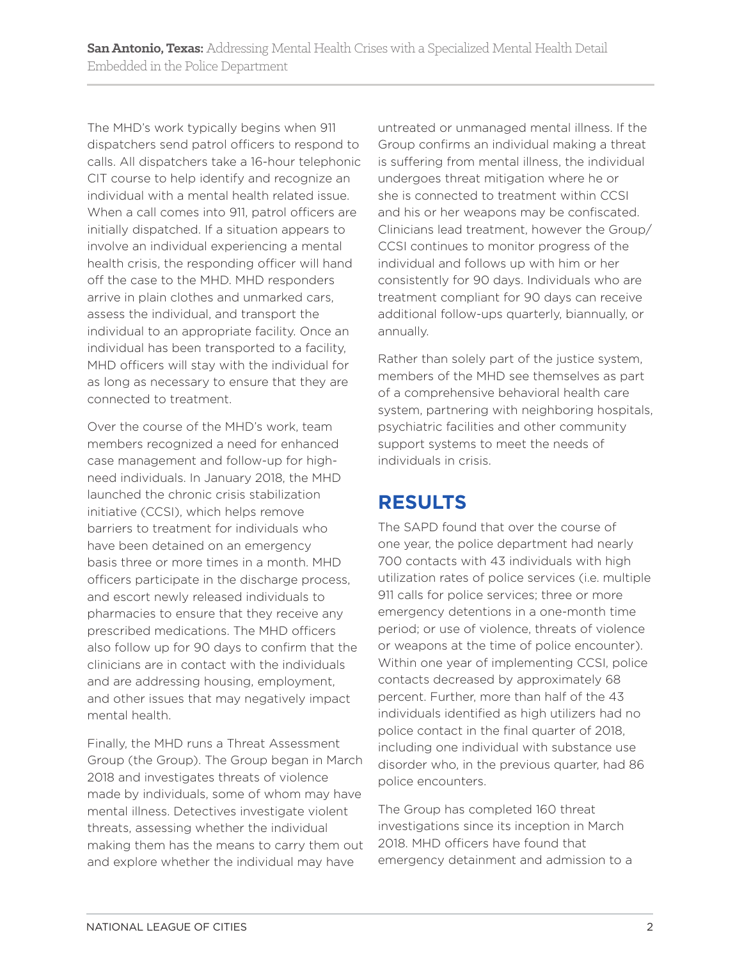The MHD's work typically begins when 911 dispatchers send patrol officers to respond to calls. All dispatchers take a 16-hour telephonic CIT course to help identify and recognize an individual with a mental health related issue. When a call comes into 911, patrol officers are initially dispatched. If a situation appears to involve an individual experiencing a mental health crisis, the responding officer will hand off the case to the MHD. MHD responders arrive in plain clothes and unmarked cars, assess the individual, and transport the individual to an appropriate facility. Once an individual has been transported to a facility, MHD officers will stay with the individual for as long as necessary to ensure that they are connected to treatment.

Over the course of the MHD's work, team members recognized a need for enhanced case management and follow-up for highneed individuals. In January 2018, the MHD launched the chronic crisis stabilization initiative (CCSI), which helps remove barriers to treatment for individuals who have been detained on an emergency basis three or more times in a month. MHD officers participate in the discharge process, and escort newly released individuals to pharmacies to ensure that they receive any prescribed medications. The MHD officers also follow up for 90 days to confirm that the clinicians are in contact with the individuals and are addressing housing, employment, and other issues that may negatively impact mental health.

Finally, the MHD runs a Threat Assessment Group (the Group). The Group began in March 2018 and investigates threats of violence made by individuals, some of whom may have mental illness. Detectives investigate violent threats, assessing whether the individual making them has the means to carry them out and explore whether the individual may have

untreated or unmanaged mental illness. If the Group confirms an individual making a threat is suffering from mental illness, the individual undergoes threat mitigation where he or she is connected to treatment within CCSI and his or her weapons may be confiscated. Clinicians lead treatment, however the Group/ CCSI continues to monitor progress of the individual and follows up with him or her consistently for 90 days. Individuals who are treatment compliant for 90 days can receive additional follow-ups quarterly, biannually, or annually.

Rather than solely part of the justice system, members of the MHD see themselves as part of a comprehensive behavioral health care system, partnering with neighboring hospitals, psychiatric facilities and other community support systems to meet the needs of individuals in crisis.

## **RESULTS**

The SAPD found that over the course of one year, the police department had nearly 700 contacts with 43 individuals with high utilization rates of police services (i.e. multiple 911 calls for police services; three or more emergency detentions in a one-month time period; or use of violence, threats of violence or weapons at the time of police encounter). Within one year of implementing CCSI, police contacts decreased by approximately 68 percent. Further, more than half of the 43 individuals identified as high utilizers had no police contact in the final quarter of 2018, including one individual with substance use disorder who, in the previous quarter, had 86 police encounters.

The Group has completed 160 threat investigations since its inception in March 2018. MHD officers have found that emergency detainment and admission to a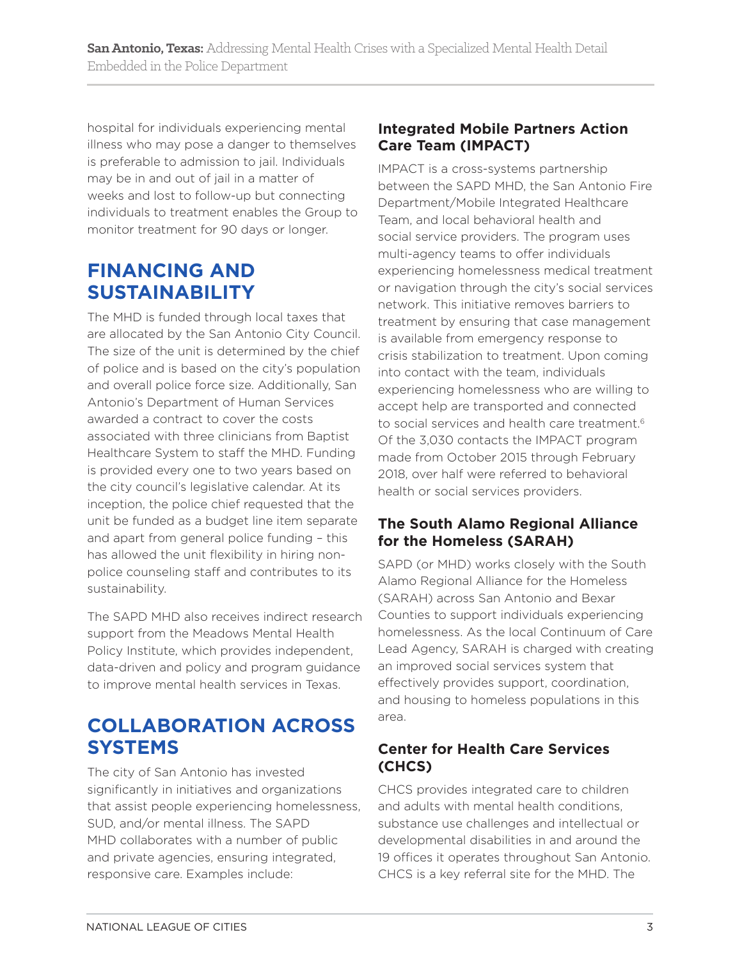hospital for individuals experiencing mental illness who may pose a danger to themselves is preferable to admission to jail. Individuals may be in and out of jail in a matter of weeks and lost to follow-up but connecting individuals to treatment enables the Group to monitor treatment for 90 days or longer.

### **FINANCING AND SUSTAINABILITY**

The MHD is funded through local taxes that are allocated by the San Antonio City Council. The size of the unit is determined by the chief of police and is based on the city's population and overall police force size. Additionally, San Antonio's Department of Human Services awarded a contract to cover the costs associated with three clinicians from Baptist Healthcare System to staff the MHD. Funding is provided every one to two years based on the city council's legislative calendar. At its inception, the police chief requested that the unit be funded as a budget line item separate and apart from general police funding – this has allowed the unit flexibility in hiring nonpolice counseling staff and contributes to its sustainability.

The SAPD MHD also receives indirect research support from the Meadows Mental Health Policy Institute, which provides independent, data-driven and policy and program guidance to improve mental health services in Texas.

## **COLLABORATION ACROSS SYSTEMS**

The city of San Antonio has invested significantly in initiatives and organizations that assist people experiencing homelessness, SUD, and/or mental illness. The SAPD MHD collaborates with a number of public and private agencies, ensuring integrated, responsive care. Examples include:

### **Integrated Mobile Partners Action Care Team (IMPACT)**

IMPACT is a cross-systems partnership between the SAPD MHD, the San Antonio Fire Department/Mobile Integrated Healthcare Team, and local behavioral health and social service providers. The program uses multi-agency teams to offer individuals experiencing homelessness medical treatment or navigation through the city's social services network. This initiative removes barriers to treatment by ensuring that case management is available from emergency response to crisis stabilization to treatment. Upon coming into contact with the team, individuals experiencing homelessness who are willing to accept help are transported and connected to social services and health care treatment.<sup>6</sup> Of the 3,030 contacts the IMPACT program made from October 2015 through February 2018, over half were referred to behavioral health or social services providers.

#### **The South Alamo Regional Alliance for the Homeless (SARAH)**

SAPD (or MHD) works closely with the South Alamo Regional Alliance for the Homeless (SARAH) across San Antonio and Bexar Counties to support individuals experiencing homelessness. As the local Continuum of Care Lead Agency, SARAH is charged with creating an improved social services system that effectively provides support, coordination, and housing to homeless populations in this area.

### **Center for Health Care Services (CHCS)**

CHCS provides integrated care to children and adults with mental health conditions, substance use challenges and intellectual or developmental disabilities in and around the 19 offices it operates throughout San Antonio. CHCS is a key referral site for the MHD. The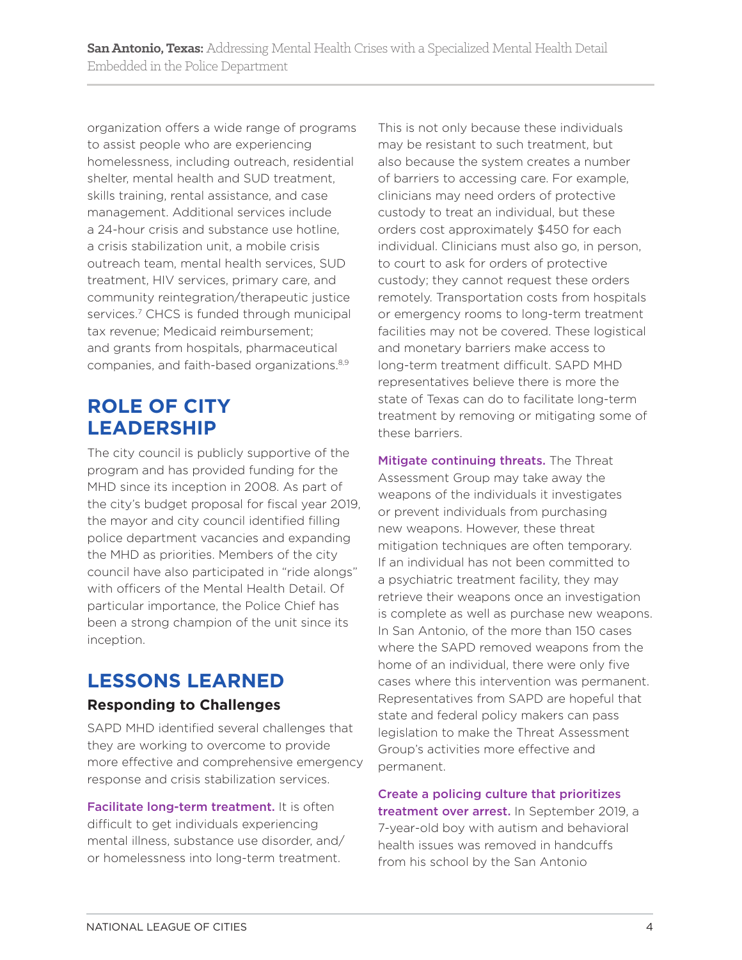organization offers a wide range of programs to assist people who are experiencing homelessness, including outreach, residential shelter, mental health and SUD treatment, skills training, rental assistance, and case management. Additional services include a 24-hour crisis and substance use hotline, a crisis stabilization unit, a mobile crisis outreach team, mental health services, SUD treatment, HIV services, primary care, and community reintegration/therapeutic justice services.<sup>7</sup> CHCS is funded through municipal tax revenue; Medicaid reimbursement; and grants from hospitals, pharmaceutical companies, and faith-based organizations.8,9

### **ROLE OF CITY LEADERSHIP**

The city council is publicly supportive of the program and has provided funding for the MHD since its inception in 2008. As part of the city's budget proposal for fiscal year 2019, the mayor and city council identified filling police department vacancies and expanding the MHD as priorities. Members of the city council have also participated in "ride alongs" with officers of the Mental Health Detail. Of particular importance, the Police Chief has been a strong champion of the unit since its inception.

### **LESSONS LEARNED**

#### **Responding to Challenges**

SAPD MHD identified several challenges that they are working to overcome to provide more effective and comprehensive emergency response and crisis stabilization services.

Facilitate long-term treatment. It is often difficult to get individuals experiencing mental illness, substance use disorder, and/ or homelessness into long-term treatment.

This is not only because these individuals may be resistant to such treatment, but also because the system creates a number of barriers to accessing care. For example, clinicians may need orders of protective custody to treat an individual, but these orders cost approximately \$450 for each individual. Clinicians must also go, in person, to court to ask for orders of protective custody; they cannot request these orders remotely. Transportation costs from hospitals or emergency rooms to long-term treatment facilities may not be covered. These logistical and monetary barriers make access to long-term treatment difficult. SAPD MHD representatives believe there is more the state of Texas can do to facilitate long-term treatment by removing or mitigating some of these barriers.

Mitigate continuing threats. The Threat Assessment Group may take away the weapons of the individuals it investigates or prevent individuals from purchasing new weapons. However, these threat mitigation techniques are often temporary. If an individual has not been committed to a psychiatric treatment facility, they may retrieve their weapons once an investigation is complete as well as purchase new weapons. In San Antonio, of the more than 150 cases where the SAPD removed weapons from the home of an individual, there were only five cases where this intervention was permanent. Representatives from SAPD are hopeful that state and federal policy makers can pass legislation to make the Threat Assessment Group's activities more effective and permanent.

Create a policing culture that prioritizes treatment over arrest. In September 2019, a 7-year-old boy with autism and behavioral health issues was removed in handcuffs from his school by the San Antonio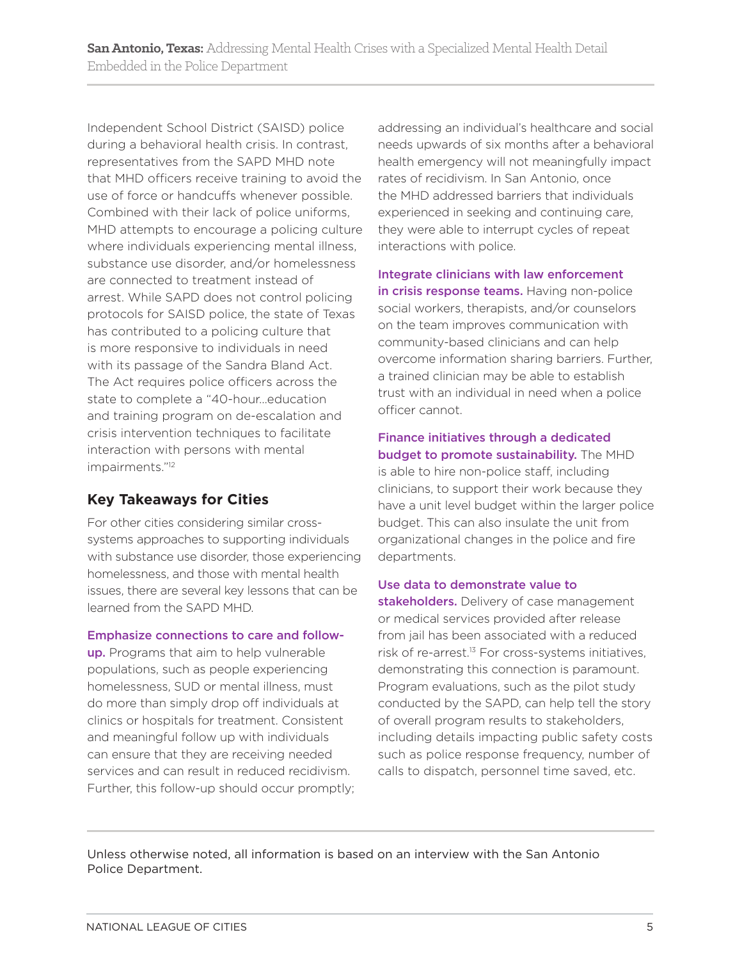Independent School District (SAISD) police during a behavioral health crisis. In contrast, representatives from the SAPD MHD note that MHD officers receive training to avoid the use of force or handcuffs whenever possible. Combined with their lack of police uniforms, MHD attempts to encourage a policing culture where individuals experiencing mental illness, substance use disorder, and/or homelessness are connected to treatment instead of arrest. While SAPD does not control policing protocols for SAISD police, the state of Texas has contributed to a policing culture that is more responsive to individuals in need with its passage of the Sandra Bland Act. The Act requires police officers across the state to complete a "40-hour…education and training program on de-escalation and crisis intervention techniques to facilitate interaction with persons with mental impairments."12

#### **Key Takeaways for Cities**

For other cities considering similar crosssystems approaches to supporting individuals with substance use disorder, those experiencing homelessness, and those with mental health issues, there are several key lessons that can be learned from the SAPD MHD.

#### Emphasize connections to care and follow-

up. Programs that aim to help vulnerable populations, such as people experiencing homelessness, SUD or mental illness, must do more than simply drop off individuals at clinics or hospitals for treatment. Consistent and meaningful follow up with individuals can ensure that they are receiving needed services and can result in reduced recidivism. Further, this follow-up should occur promptly; addressing an individual's healthcare and social needs upwards of six months after a behavioral health emergency will not meaningfully impact rates of recidivism. In San Antonio, once the MHD addressed barriers that individuals experienced in seeking and continuing care, they were able to interrupt cycles of repeat interactions with police.

Integrate clinicians with law enforcement in crisis response teams. Having non-police social workers, therapists, and/or counselors on the team improves communication with community-based clinicians and can help overcome information sharing barriers. Further, a trained clinician may be able to establish trust with an individual in need when a police officer cannot.

#### Finance initiatives through a dedicated budget to promote sustainability. The MHD is able to hire non-police staff, including clinicians, to support their work because they have a unit level budget within the larger police budget. This can also insulate the unit from organizational changes in the police and fire departments.

#### Use data to demonstrate value to

stakeholders. Delivery of case management or medical services provided after release from jail has been associated with a reduced risk of re-arrest.<sup>13</sup> For cross-systems initiatives, demonstrating this connection is paramount. Program evaluations, such as the pilot study conducted by the SAPD, can help tell the story of overall program results to stakeholders, including details impacting public safety costs such as police response frequency, number of calls to dispatch, personnel time saved, etc.

Unless otherwise noted, all information is based on an interview with the San Antonio Police Department.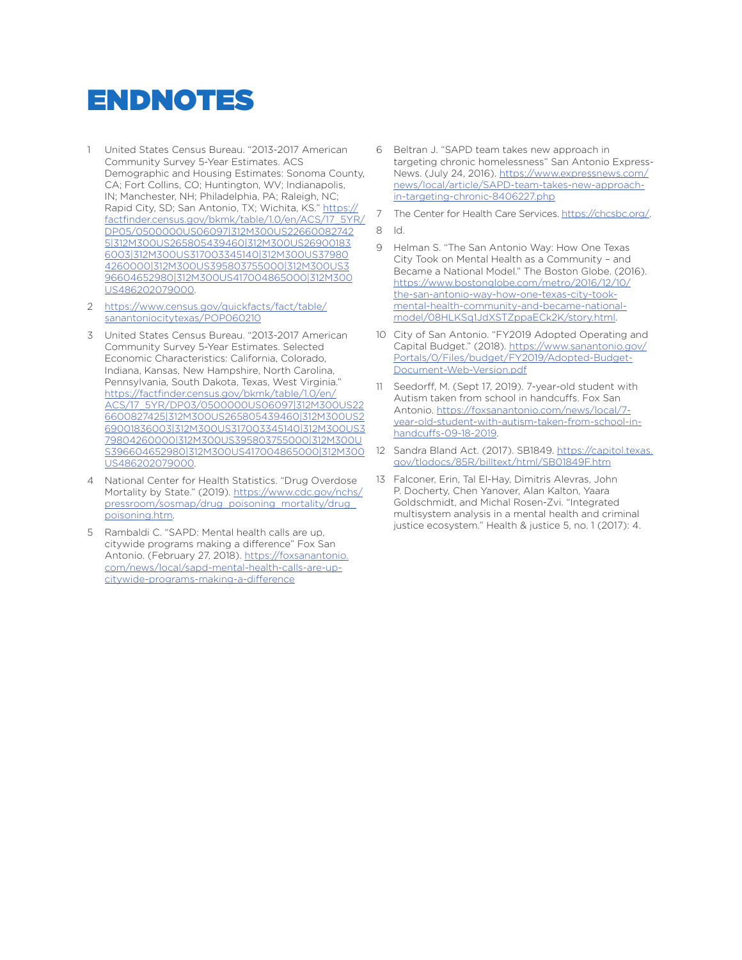# ENDNOTES

- 1 United States Census Bureau. "2013-2017 American Community Survey 5-Year Estimates. ACS Demographic and Housing Estimates: Sonoma County, CA; Fort Collins, CO; Huntington, WV; Indianapolis, IN; Manchester, NH; Philadelphia, PA; Raleigh, NC; Rapid City, SD; San Antonio, TX; Wichita, KS." https:// factfinder.census.gov/bkmk/table/1.0/en/ACS/17\_5YR/ DP05/0500000US06097|312M300US22660082742 5|312M300US265805439460|312M300US26900183 6003|312M300US317003345140|312M300US37980 4260000|312M300US395803755000|312M300US3 96604652980|312M300US417004865000|312M300 US486202079000.
- 2 https://www.census.gov/quickfacts/fact/table/ sanantoniocitytexas/POP060210
- 3 United States Census Bureau. "2013-2017 American Community Survey 5-Year Estimates. Selected Economic Characteristics: California, Colorado, Indiana, Kansas, New Hampshire, North Carolina, Pennsylvania, South Dakota, Texas, West Virginia." https://factfinder.census.gov/bkmk/table/1.0/en/ ACS/17\_5YR/DP03/0500000US06097|312M300US22 6600827425|312M300US265805439460|312M300US2 69001836003|312M300US317003345140|312M300US3 79804260000|312M300US395803755000|312M300U S396604652980|312M300US417004865000|312M300 US486202079000.
- 4 National Center for Health Statistics. "Drug Overdose Mortality by State." (2019). https://www.cdc.gov/nchs/ pressroom/sosmap/drug\_poisoning\_mortality/drug\_ poisoning.htm.
- 5 Rambaldi C. "SAPD: Mental health calls are up, citywide programs making a difference" Fox San Antonio. (February 27, 2018). https://foxsanantonio. com/news/local/sapd-mental-health-calls-are-upcitywide-programs-making-a-difference
- 6 Beltran J. "SAPD team takes new approach in targeting chronic homelessness" San Antonio Express-News. (July 24, 2016). https://www.expressnews.com/ news/local/article/SAPD-team-takes-new-approachin-targeting-chronic-8406227.php
- 7 The Center for Health Care Services. https://chcsbc.org/.
- 8 Id.
- 9 Helman S. "The San Antonio Way: How One Texas City Took on Mental Health as a Community – and Became a National Model." The Boston Globe. (2016). https://www.bostonglobe.com/metro/2016/12/10/ the-san-antonio-way-how-one-texas-city-tookmental-health-community-and-became-nationalmodel/08HLKSq1JdXSTZppaECk2K/story.html.
- 10 City of San Antonio. "FY2019 Adopted Operating and Capital Budget." (2018). https://www.sanantonio.gov/ Portals/0/Files/budget/FY2019/Adopted-Budget-Document-Web-Version.pdf
- 11 Seedorff, M. (Sept 17, 2019). 7-year-old student with Autism taken from school in handcuffs. Fox San Antonio. https://foxsanantonio.com/news/local/7 year-old-student-with-autism-taken-from-school-inhandcuffs-09-18-2019.
- 12 Sandra Bland Act. (2017). SB1849. https://capitol.texas. gov/tlodocs/85R/billtext/html/SB01849F.htm
- 13 Falconer, Erin, Tal El-Hay, Dimitris Alevras, John P. Docherty, Chen Yanover, Alan Kalton, Yaara Goldschmidt, and Michal Rosen-Zvi. "Integrated multisystem analysis in a mental health and criminal justice ecosystem." Health & justice 5, no. 1 (2017): 4.